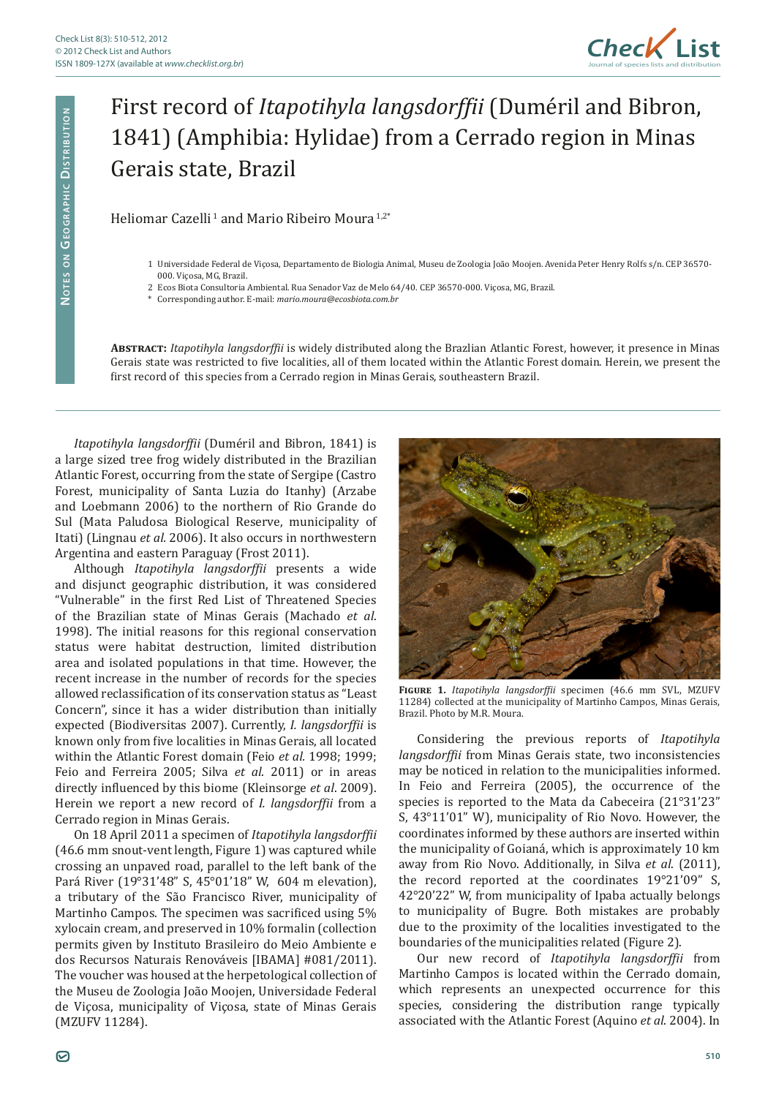

## First record of *Itapotihyla langsdorffii* (Duméril and Bibron, 1841) (Amphibia: Hylidae) from a Cerrado region in Minas Gerais state, Brazil

Heliomar Cazelli<sup>1</sup> and Mario Ribeiro Moura<sup>1,2\*</sup>

- 1 Universidade Federal de Viçosa, Departamento de Biologia Animal, Museu de Zoologia João Moojen. Avenida Peter Henry Rolfs s/n. CEP 36570- 000. Viçosa, MG, Brazil.
- 2 Ecos Biota Consultoria Ambiental. Rua Senador Vaz de Melo 64/40. CEP 36570-000. Viçosa, MG, Brazil.
- \* Corresponding author. E-mail: *mario.moura@ecosbiota.com.br*

**Abstract:** *Itapotihyla langsdorffii* is widely distributed along the Brazlian Atlantic Forest, however, it presence in Minas Gerais state was restricted to five localities, all of them located within the Atlantic Forest domain. Herein, we present the first record of this species from a Cerrado region in Minas Gerais, southeastern Brazil.

*Itapotihyla langsdorffii* (Duméril and Bibron, 1841) is a large sized tree frog widely distributed in the Brazilian Atlantic Forest, occurring from the state of Sergipe (Castro Forest, municipality of Santa Luzia do Itanhy) (Arzabe and Loebmann 2006) to the northern of Rio Grande do Sul (Mata Paludosa Biological Reserve, municipality of Itati) (Lingnau *et al.* 2006). It also occurs in northwestern Argentina and eastern Paraguay (Frost 2011).

Although *Itapotihyla langsdorffii* presents a wide and disjunct geographic distribution, it was considered "Vulnerable" in the first Red List of Threatened Species of the Brazilian state of Minas Gerais (Machado *et al*. 1998). The initial reasons for this regional conservation status were habitat destruction, limited distribution area and isolated populations in that time. However, the recent increase in the number of records for the species allowed reclassification of its conservation status as "Least Concern", since it has a wider distribution than initially expected (Biodiversitas 2007). Currently, *I. langsdorffii* is known only from five localities in Minas Gerais, all located within the Atlantic Forest domain (Feio *et al.* 1998; 1999; Feio and Ferreira 2005; Silva *et al*. 2011) or in areas directly influenced by this biome (Kleinsorge *et al*. 2009). Herein we report a new record of *I. langsdorffii* from a Cerrado region in Minas Gerais.

On 18 April 2011 a specimen of *Itapotihyla langsdorffii* (46.6 mm snout-vent length, Figure 1) was captured while crossing an unpaved road, parallel to the left bank of the Pará River (19°31'48" S, 45°01'18" W, 604 m elevation), a tributary of the São Francisco River, municipality of Martinho Campos. The specimen was sacrificed using 5% xylocain cream, and preserved in 10% formalin (collection permits given by Instituto Brasileiro do Meio Ambiente e dos Recursos Naturais Renováveis [IBAMA] #081/2011). The voucher was housed at the herpetological collection of the Museu de Zoologia João Moojen, Universidade Federal de Viçosa, municipality of Viçosa, state of Minas Gerais (MZUFV 11284).



**Figure 1.** *Itapotihyla langsdorffii* specimen (46.6 mm SVL, MZUFV 11284) collected at the municipality of Martinho Campos, Minas Gerais, Brazil. Photo by M.R. Moura.

Considering the previous reports of *Itapotihyla langsdorffii* from Minas Gerais state, two inconsistencies may be noticed in relation to the municipalities informed. In Feio and Ferreira (2005), the occurrence of the species is reported to the Mata da Cabeceira (21°31'23" S, 43°11'01" W), municipality of Rio Novo. However, the coordinates informed by these authors are inserted within the municipality of Goianá, which is approximately 10 km away from Rio Novo. Additionally, in Silva *et al*. (2011), the record reported at the coordinates 19°21'09" S, 42°20'22" W, from municipality of Ipaba actually belongs to municipality of Bugre. Both mistakes are probably due to the proximity of the localities investigated to the boundaries of the municipalities related (Figure 2).

Our new record of *Itapotihyla langsdorffii* from Martinho Campos is located within the Cerrado domain, which represents an unexpected occurrence for this species, considering the distribution range typically associated with the Atlantic Forest (Aquino *et al*. 2004). In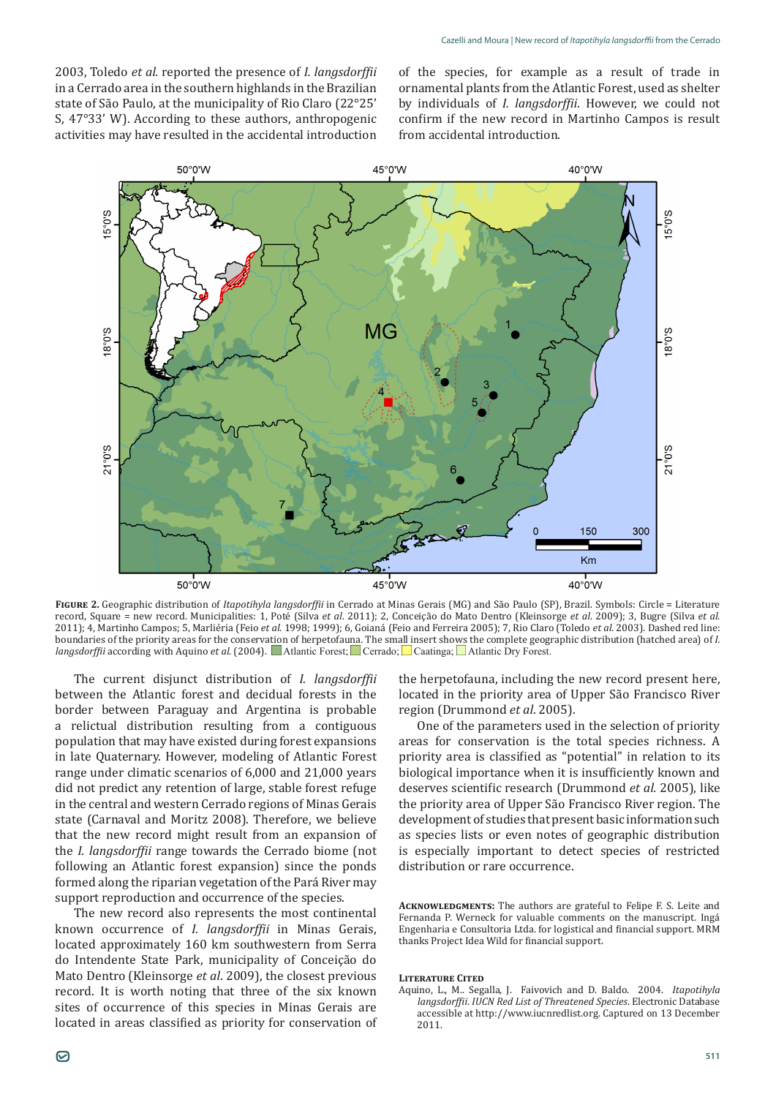2003, Toledo *et al.* reported the presence of *I. langsdorffii* in a Cerrado area in the southern highlands in the Brazilian state of São Paulo, at the municipality of Rio Claro (22°25' S, 47°33' W). According to these authors, anthropogenic activities may have resulted in the accidental introduction

of the species, for example as a result of trade in ornamental plants from the Atlantic Forest, used as shelter by individuals of *I. langsdorffii*. However, we could not confirm if the new record in Martinho Campos is result from accidental introduction.



**Figure 2.** Geographic distribution of *Itapotihyla langsdorffii* in Cerrado at Minas Gerais (MG) and São Paulo (SP), Brazil. Symbols: Circle = Literature record, Square = new record. Municipalities: 1, Poté (Silva *et al*. 2011); 2, Conceição do Mato Dentro (Kleinsorge *et al*. 2009); 3, Bugre (Silva *et al*. 2011); 4, Martinho Campos; 5, Marliéria (Feio *et al*. 1998; 1999); 6, Goianá (Feio and Ferreira 2005); 7, Rio Claro (Toledo *et al*. 2003). Dashed red line: boundaries of the priority areas for the conservation of herpetofauna. The small insert shows the complete geographic distribution (hatched area) of *I. langsdorffii* according with Aquino *et al.* (2004). Atlantic Forest: Cerrado: Caatinga: Atlantic Dry Forest.

The current disjunct distribution of *I. langsdorffii* between the Atlantic forest and decidual forests in the border between Paraguay and Argentina is probable a relictual distribution resulting from a contiguous population that may have existed during forest expansions in late Quaternary. However, modeling of Atlantic Forest range under climatic scenarios of 6,000 and 21,000 years did not predict any retention of large, stable forest refuge in the central and western Cerrado regions of Minas Gerais state (Carnaval and Moritz 2008). Therefore, we believe that the new record might result from an expansion of the *I. langsdorffii* range towards the Cerrado biome (not following an Atlantic forest expansion) since the ponds formed along the riparian vegetation of the Pará River may support reproduction and occurrence of the species.

The new record also represents the most continental known occurrence of *I. langsdorffii* in Minas Gerais, located approximately 160 km southwestern from Serra do Intendente State Park, municipality of Conceição do Mato Dentro (Kleinsorge *et al*. 2009), the closest previous record. It is worth noting that three of the six known sites of occurrence of this species in Minas Gerais are located in areas classified as priority for conservation of

the herpetofauna, including the new record present here, located in the priority area of Upper São Francisco River region (Drummond *et al*. 2005).

One of the parameters used in the selection of priority areas for conservation is the total species richness. A priority area is classified as "potential" in relation to its biological importance when it is insufficiently known and deserves scientific research (Drummond *et al.* 2005), like the priority area of Upper São Francisco River region. The development of studies that present basic information such as species lists or even notes of geographic distribution is especially important to detect species of restricted distribution or rare occurrence.

**Acknowledgments:** The authors are grateful to Felipe F. S. Leite and Fernanda P. Werneck for valuable comments on the manuscript. Ingá Engenharia e Consultoria Ltda. for logistical and financial support. MRM thanks Project Idea Wild for financial support.

## **Literature Cited**

Aquino, L., M.. Segalla, J. Faivovich and D. Baldo. 2004. *Itapotihyla langsdorffii*. *IUCN Red List of Threatened Species*. Electronic Database accessible at http://www.iucnredlist.org. Captured on 13 December 2011.